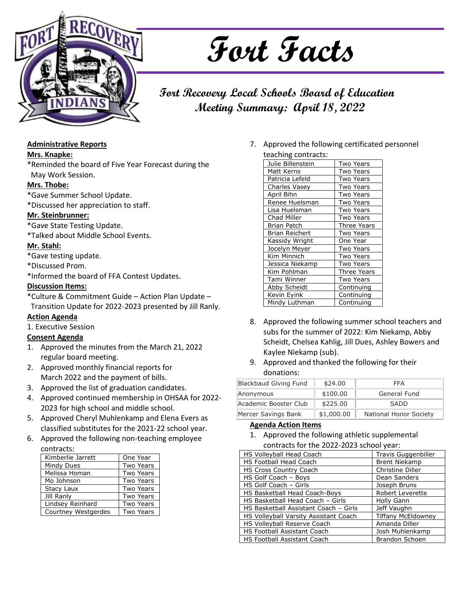

# **Fort Facts**

# **Fort Recovery Local Schools Board of Education Meeting Summary: April 18, 2022**

# **Administrative Reports**

# **Mrs. Knapke:**

\*Reminded the board of Five Year Forecast during the May Work Session.

# **Mrs. Thobe:**

- \*Gave Summer School Update.
- \*Discussed her appreciation to staff.

# **Mr. Steinbrunner:**

- \*Gave State Testing Update.
- \*Talked about Middle School Events.

#### **Mr. Stahl:**

- \*Gave testing update.
- \*Discussed Prom.

\*Informed the board of FFA Contest Updates.

#### **Discussion Items:**

\*Culture & Commitment Guide – Action Plan Update – Transition Update for 2022-2023 presented by Jill Ranly.

# **Action Agenda**

1. Executive Session

# **Consent Agenda**

- 1. Approved the minutes from the March 21, 2022 regular board meeting.
- 2. Approved monthly financial reports for March 2022 and the payment of bills.
- 3. Approved the list of graduation candidates.
- 4. Approved continued membership in OHSAA for 2022- 2023 for high school and middle school.
- 5. Approved Cheryl Muhlenkamp and Elena Evers as classified substitutes for the 2021-22 school year.
- 6. Approved the following non-teaching employee

| contracts:          |                  |
|---------------------|------------------|
| Kimberlie Jarrett   | One Year         |
| Mindy Dues          | <b>Two Years</b> |
| Melissa Homan       | <b>Two Years</b> |
| Mo Johnson          | <b>Two Years</b> |
| Stacy Laux          | <b>Two Years</b> |
| Jill Ranly          | <b>Two Years</b> |
| Lindsey Reinhard    | <b>Two Years</b> |
| Courtney Westgerdes | <b>Two Years</b> |

7. Approved the following certificated personnel teaching contracts:

| <b>Two Years</b>   |
|--------------------|
| <b>Two Years</b>   |
| Two Years          |
| <b>Two Years</b>   |
| <b>Two Years</b>   |
| Two Years          |
| <b>Two Years</b>   |
| <b>Two Years</b>   |
| <b>Three Years</b> |
| Two Years          |
| One Year           |
| <b>Two Years</b>   |
| <b>Two Years</b>   |
| <b>Two Years</b>   |
| Three Years        |
| Two Years          |
| Continuing         |
| Continuing         |
| Continuing         |
|                    |

- 8. Approved the following summer school teachers and subs for the summer of 2022: Kim Niekamp, Abby Scheidt, Chelsea Kahlig, Jill Dues, Ashley Bowers and Kaylee Niekamp (sub).
- 9. Approved and thanked the following for their donations:

| Blackbaud Giving Fund | \$24.00    | <b>FFA</b>             |
|-----------------------|------------|------------------------|
| Anonymous             | \$100.00   | General Fund           |
| Academic Booster Club | \$225.00   | <b>SADD</b>            |
| Mercer Savings Bank   | \$1,000.00 | National Honor Society |

# **Agenda Action Items**

1. Approved the following athletic supplemental contracts for the 2022-2023 school year:

| HS Volleyball Head Coach              | <b>Travis Guggenbiller</b> |
|---------------------------------------|----------------------------|
| <b>HS Football Head Coach</b>         | <b>Brent Niekamp</b>       |
| <b>HS Cross Country Coach</b>         | Christine Diller           |
| HS Golf Coach - Boys                  | Dean Sanders               |
| HS Golf Coach - Girls                 | Joseph Bruns               |
| HS Basketball Head Coach-Boys         | <b>Robert Leverette</b>    |
| HS Basketball Head Coach - Girls      | <b>Holly Gann</b>          |
| HS Basketball Assistant Coach - Girls | Jeff Vaughn                |
| HS Volleyball Varsity Assistant Coach | <b>Tiffany McEldowney</b>  |
| HS Volleyball Reserve Coach           | Amanda Diller              |
| <b>HS Football Assistant Coach</b>    | Josh Muhlenkamp            |
| <b>HS Football Assistant Coach</b>    | <b>Brandon Schoen</b>      |